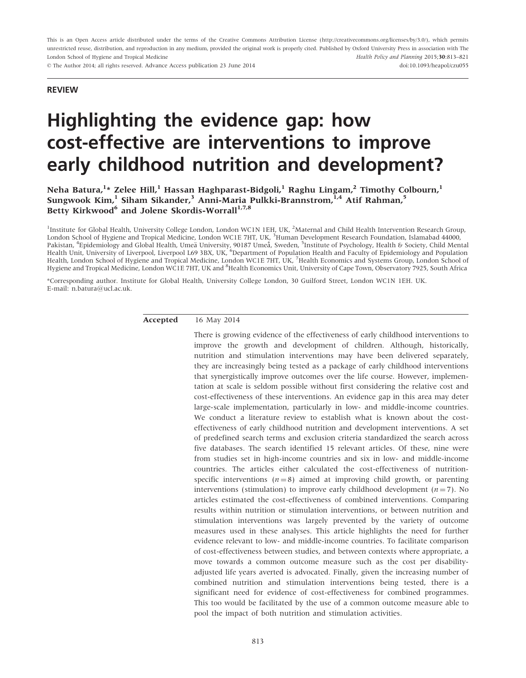This is an Open Access article distributed under the terms of the Creative Commons Attribution License (http://creativecommons.org/licenses/by/3.0/), which permits unrestricted reuse, distribution, and reproduction in any medium, provided the original work is properly cited. Published by Oxford University Press in association with The London School of Hygiene and Tropical Medicine Health Policy and Planning 2015;30:813–821 doi:10.1093/heapol/czu055

- The Author 2014; all rights reserved. Advance Access publication 23 June 2014

#### REVIEW

# Highlighting the evidence gap: how cost-effective are interventions to improve early childhood nutrition and development?

Neha Batura, $^{1\ast}$  Zelee Hill, $^{1}$  Hassan Haghparast-Bidgoli, $^{1}$  Raghu Lingam, $^{2}$  Timothy Colbourn, $^{1}$ Sungwook Kim,<sup>1</sup> Siham Sikander,<sup>3</sup> Anni-Maria Pulkki-Brannstrom,<sup>1,4</sup> Atif Rahman,<sup>5</sup> Betty Kirkwood<sup>6</sup> and Jolene Skordis-Worrall<sup>1,7,8</sup>

<sup>1</sup>Institute for Global Health, University College London, London WC1N 1EH, UK, <sup>2</sup>Maternal and Child Health Intervention Research Group, London School of Hygiene and Tropical Medicine, London WC1E 7HT, UK, <sup>3</sup>Human Development Research Foundation, Islamabad 44000, Pakistan, <sup>4</sup>Epidemiology and Global Health, Umeä University, 90187 Umeå, Sweden, <sup>5</sup>Institute of Psychology, Health & Society, Child Mental<br>Health Unit, University of Liverpool, Liverpool L69 3BX, UK, <sup>6</sup>Department of Pop Health, London School of Hygiene and Tropical Medicine, London WC1E 7HT, UK, <sup>7</sup>Health Economics and Systems Group, London School of Hygiene and Tropical Medicine, London WC1E 7HT, UK and <sup>8</sup>Health Economics Unit, University of Cape Town, Observatory 7925, South Africa

\*Corresponding author. Institute for Global Health, University College London, 30 Guilford Street, London WC1N 1EH. UK. E-mail: n.batura@ucl.ac.uk.

#### Accepted 16 May 2014

There is growing evidence of the effectiveness of early childhood interventions to improve the growth and development of children. Although, historically, nutrition and stimulation interventions may have been delivered separately, they are increasingly being tested as a package of early childhood interventions that synergistically improve outcomes over the life course. However, implementation at scale is seldom possible without first considering the relative cost and cost-effectiveness of these interventions. An evidence gap in this area may deter large-scale implementation, particularly in low- and middle-income countries. We conduct a literature review to establish what is known about the costeffectiveness of early childhood nutrition and development interventions. A set of predefined search terms and exclusion criteria standardized the search across five databases. The search identified 15 relevant articles. Of these, nine were from studies set in high-income countries and six in low- and middle-income countries. The articles either calculated the cost-effectiveness of nutritionspecific interventions  $(n = 8)$  aimed at improving child growth, or parenting interventions (stimulation) to improve early childhood development ( $n = 7$ ). No articles estimated the cost-effectiveness of combined interventions. Comparing results within nutrition or stimulation interventions, or between nutrition and stimulation interventions was largely prevented by the variety of outcome measures used in these analyses. This article highlights the need for further evidence relevant to low- and middle-income countries. To facilitate comparison of cost-effectiveness between studies, and between contexts where appropriate, a move towards a common outcome measure such as the cost per disabilityadjusted life years averted is advocated. Finally, given the increasing number of combined nutrition and stimulation interventions being tested, there is a significant need for evidence of cost-effectiveness for combined programmes. This too would be facilitated by the use of a common outcome measure able to pool the impact of both nutrition and stimulation activities.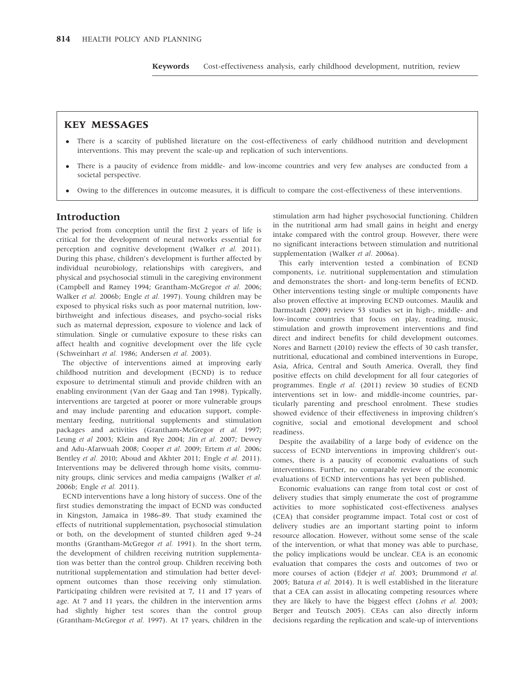Keywords Cost-effectiveness analysis, early childhood development, nutrition, review

## KEY MESSAGES

- $\bullet$  There is a scarcity of published literature on the cost-effectiveness of early childhood nutrition and development interventions. This may prevent the scale-up and replication of such interventions.
- - There is a paucity of evidence from middle- and low-income countries and very few analyses are conducted from a societal perspective.
- $\bullet$ Owing to the differences in outcome measures, it is difficult to compare the cost-effectiveness of these interventions.

## Introduction

The period from conception until the first 2 years of life is critical for the development of neural networks essential for perception and cognitive development ([Walker](#page-8-0) et al. 2011). During this phase, children's development is further affected by individual neurobiology, relationships with caregivers, and physical and psychosocial stimuli in the caregiving environment [\(Campbell and Ramey 1994;](#page-6-0) [Grantham-McGregor](#page-7-0) et al. 2006; [Walker](#page-8-0) et al. [2006b;](#page-8-0) [Engle](#page-7-0) et al. 1997). Young children may be exposed to physical risks such as poor maternal nutrition, lowbirthweight and infectious diseases, and psycho-social risks such as maternal depression, exposure to violence and lack of stimulation. Single or cumulative exposure to these risks can affect health and cognitive development over the life cycle [\(Schweinhart](#page-7-0) et al. 1986; [Andersen](#page-6-0) et al. 2003).

The objective of interventions aimed at improving early childhood nutrition and development (ECND) is to reduce exposure to detrimental stimuli and provide children with an enabling environment ([Van der Gaag and Tan 1998](#page-8-0)). Typically, interventions are targeted at poorer or more vulnerable groups and may include parenting and education support, complementary feeding, nutritional supplements and stimulation packages and activities [\(Grantham-McGregor](#page-7-0) et al. 1997; [Leung](#page-7-0) et al 2003; [Klein and Rye 2004;](#page-7-0) Jin [et al.](#page-7-0) 2007; [Dewey](#page-7-0) [and Adu-Afarwuah 2008; Cooper](#page-7-0) et al. 2009; [Ertem](#page-7-0) et al. 2006; [Bentley](#page-6-0) et al. 2010; [Aboud and Akhter 2011](#page-6-0); [Engle](#page-7-0) et al. 2011). Interventions may be delivered through home visits, community groups, clinic services and media campaigns [\(Walker](#page-8-0) et al. [2006b;](#page-8-0) [Engle](#page-7-0) et al. 2011).

ECND interventions have a long history of success. One of the first studies demonstrating the impact of ECND was conducted in Kingston, Jamaica in 1986–89. That study examined the effects of nutritional supplementation, psychosocial stimulation or both, on the development of stunted children aged 9–24 months ([Grantham-McGregor](#page-7-0) et al. 1991). In the short term, the development of children receiving nutrition supplementation was better than the control group. Children receiving both nutritional supplementation and stimulation had better development outcomes than those receiving only stimulation. Participating children were revisited at 7, 11 and 17 years of age. At 7 and 11 years, the children in the intervention arms had slightly higher test scores than the control group [\(Grantham-McGregor](#page-7-0) et al. 1997). At 17 years, children in the

stimulation arm had higher psychosocial functioning. Children in the nutritional arm had small gains in height and energy intake compared with the control group. However, there were no significant interactions between stimulation and nutritional supplementation ([Walker](#page-8-0) et al. [2006a](#page-8-0)).

This early intervention tested a combination of ECND components, i.e. nutritional supplementation and stimulation and demonstrates the short- and long-term benefits of ECND. Other interventions testing single or multiple components have also proven effective at improving ECND outcomes. [Maulik and](#page-7-0) [Darmstadt \(2009\)](#page-7-0) review 53 studies set in high-, middle- and low-income countries that focus on play, reading, music, stimulation and growth improvement interventions and find direct and indirect benefits for child development outcomes. [Nores and Barnett \(2010\)](#page-7-0) review the effects of 30 cash transfer, nutritional, educational and combined interventions in Europe, Asia, Africa, Central and South America. Overall, they find positive effects on child development for all four categories of programmes. Engle et al. [\(2011\)](#page-7-0) review 30 studies of ECND interventions set in low- and middle-income countries, particularly parenting and preschool enrolment. These studies showed evidence of their effectiveness in improving children's cognitive, social and emotional development and school readiness.

Despite the availability of a large body of evidence on the success of ECND interventions in improving children's outcomes, there is a paucity of economic evaluations of such interventions. Further, no comparable review of the economic evaluations of ECND interventions has yet been published.

Economic evaluations can range from total cost or cost of delivery studies that simply enumerate the cost of programme activities to more sophisticated cost-effectiveness analyses (CEA) that consider programme impact. Total cost or cost of delivery studies are an important starting point to inform resource allocation. However, without some sense of the scale of the intervention, or what that money was able to purchase, the policy implications would be unclear. CEA is an economic evaluation that compares the costs and outcomes of two or more courses of action ([Edejer](#page-7-0) et al. 2003; [Drummond](#page-7-0) et al. [2005](#page-7-0); [Batura](#page-6-0) et al. 2014). It is well established in the literature that a CEA can assist in allocating competing resources where they are likely to have the biggest effect ([Johns](#page-7-0) et al. 2003; [Berger and Teutsch 2005](#page-6-0)). CEAs can also directly inform decisions regarding the replication and scale-up of interventions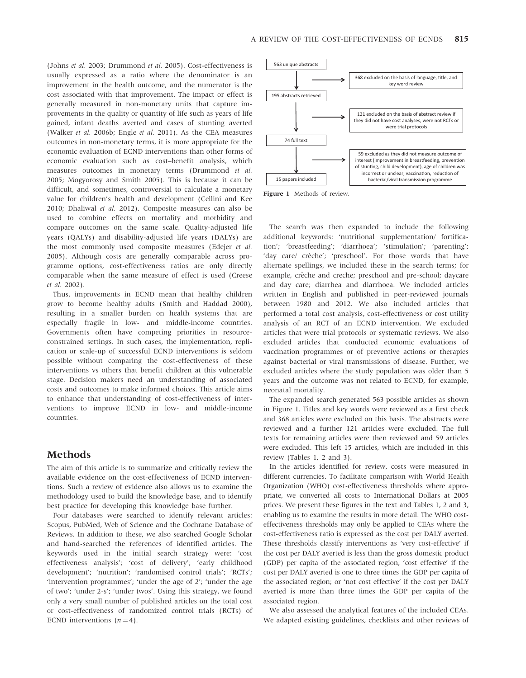[\(Johns](#page-7-0) et al. 2003; [Drummond](#page-7-0) et al. 2005). Cost-effectiveness is usually expressed as a ratio where the denominator is an improvement in the health outcome, and the numerator is the cost associated with that improvement. The impact or effect is generally measured in non-monetary units that capture improvements in the quality or quantity of life such as years of life gained, infant deaths averted and cases of stunting averted [\(Walker](#page-8-0) et al. 2006b; [Engle](#page-7-0) et al. 2011). As the CEA measures outcomes in non-monetary terms, it is more appropriate for the economic evaluation of ECND interventions than other forms of economic evaluation such as cost–benefit analysis, which measures outcomes in monetary terms [\(Drummond](#page-7-0) et al. [2005](#page-7-0); [Mogyorosy and Smith 2005](#page-7-0)). This is because it can be difficult, and sometimes, controversial to calculate a monetary value for children's health and development [\(Cellini and Kee](#page-7-0) [2010](#page-7-0); [Dhaliwal](#page-7-0) et al. 2012). Composite measures can also be used to combine effects on mortality and morbidity and compare outcomes on the same scale. Quality-adjusted life years (QALYs) and disability-adjusted life years (DALYs) are the most commonly used composite measures ([Edejer](#page-7-0) et al. [2005](#page-7-0)). Although costs are generally comparable across programme options, cost-effectiveness ratios are only directly comparable when the same measure of effect is used ([Creese](#page-7-0) et al. [2002](#page-7-0)).

Thus, improvements in ECND mean that healthy children grow to become healthy adults [\(Smith and Haddad 2000](#page-8-0)), resulting in a smaller burden on health systems that are especially fragile in low- and middle-income countries. Governments often have competing priorities in resourceconstrained settings. In such cases, the implementation, replication or scale-up of successful ECND interventions is seldom possible without comparing the cost-effectiveness of these interventions vs others that benefit children at this vulnerable stage. Decision makers need an understanding of associated costs and outcomes to make informed choices. This article aims to enhance that understanding of cost-effectiveness of interventions to improve ECND in low- and middle-income countries.

## Methods

The aim of this article is to summarize and critically review the available evidence on the cost-effectiveness of ECND interventions. Such a review of evidence also allows us to examine the methodology used to build the knowledge base, and to identify best practice for developing this knowledge base further.

Four databases were searched to identify relevant articles: Scopus, PubMed, Web of Science and the Cochrane Database of Reviews. In addition to these, we also searched Google Scholar and hand-searched the references of identified articles. The keywords used in the initial search strategy were: 'cost effectiveness analysis'; 'cost of delivery'; 'early childhood development'; 'nutrition'; 'randomised control trials'; 'RCTs'; 'intervention programmes'; 'under the age of 2'; 'under the age of two'; 'under 2-s'; 'under twos'. Using this strategy, we found only a very small number of published articles on the total cost or cost-effectiveness of randomized control trials (RCTs) of ECND interventions  $(n=4)$ .



Figure 1 Methods of review.

The search was then expanded to include the following additional keywords: 'nutritional supplementation/ fortification'; 'breastfeeding'; 'diarrhoea'; 'stimulation'; 'parenting'; 'day care/ crèche'; 'preschool'. For those words that have alternate spellings, we included these in the search terms; for example, crèche and creche; preschool and pre-school; daycare and day care; diarrhea and diarrhoea. We included articles written in English and published in peer-reviewed journals between 1980 and 2012. We also included articles that performed a total cost analysis, cost-effectiveness or cost utility analysis of an RCT of an ECND intervention. We excluded articles that were trial protocols or systematic reviews. We also excluded articles that conducted economic evaluations of vaccination programmes or of preventive actions or therapies against bacterial or viral transmissions of disease. Further, we excluded articles where the study population was older than 5 years and the outcome was not related to ECND, for example, neonatal mortality.

The expanded search generated 563 possible articles as shown in Figure 1. Titles and key words were reviewed as a first check and 368 articles were excluded on this basis. The abstracts were reviewed and a further 121 articles were excluded. The full texts for remaining articles were then reviewed and 59 articles were excluded. This left 15 articles, which are included in this review [\(Tables 1](#page-3-0), [2](#page-4-0) and [3](#page-4-0)).

In the articles identified for review, costs were measured in different currencies. To facilitate comparison with World Health Organization (WHO) cost-effectiveness thresholds where appropriate, we converted all costs to International Dollars at 2005 prices. We present these figures in the text and [Tables 1](#page-3-0), [2](#page-4-0) and [3,](#page-4-0) enabling us to examine the results in more detail. The WHO costeffectiveness thresholds may only be applied to CEAs where the cost-effectiveness ratio is expressed as the cost per DALY averted. These thresholds classify interventions as 'very cost-effective' if the cost per DALY averted is less than the gross domestic product (GDP) per capita of the associated region; 'cost effective' if the cost per DALY averted is one to three times the GDP per capita of the associated region; or 'not cost effective' if the cost per DALY averted is more than three times the GDP per capita of the associated region.

We also assessed the analytical features of the included CEAs. We adapted existing guidelines, checklists and other reviews of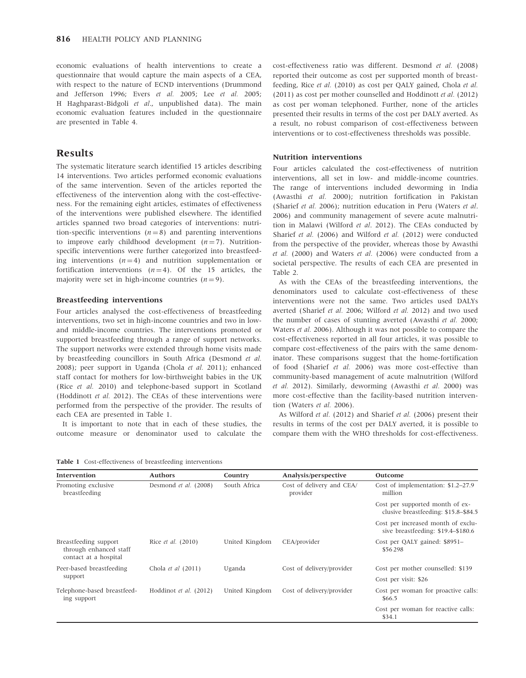<span id="page-3-0"></span>economic evaluations of health interventions to create a questionnaire that would capture the main aspects of a CEA, with respect to the nature of ECND interventions ([Drummond](#page-7-0) [and Jefferson 1996](#page-7-0); Evers [et al.](#page-7-0) 2005; Lee [et al.](#page-7-0) 2005; H Haghparast-Bidgoli et al., unpublished data). The main economic evaluation features included in the questionnaire are presented in [Table 4](#page-5-0).

# Results

The systematic literature search identified 15 articles describing 14 interventions. Two articles performed economic evaluations of the same intervention. Seven of the articles reported the effectiveness of the intervention along with the cost-effectiveness. For the remaining eight articles, estimates of effectiveness of the interventions were published elsewhere. The identified articles spanned two broad categories of interventions: nutrition-specific interventions  $(n = 8)$  and parenting interventions to improve early childhood development  $(n = 7)$ . Nutritionspecific interventions were further categorized into breastfeeding interventions  $(n = 4)$  and nutrition supplementation or fortification interventions  $(n=4)$ . Of the 15 articles, the majority were set in high-income countries  $(n = 9)$ .

#### Breastfeeding interventions

Four articles analysed the cost-effectiveness of breastfeeding interventions, two set in high-income countries and two in lowand middle-income countries. The interventions promoted or supported breastfeeding through a range of support networks. The support networks were extended through home visits made by breastfeeding councillors in South Africa ([Desmond](#page-7-0) et al. [2008](#page-7-0)); peer support in Uganda ([Chola](#page-7-0) et al. 2011); enhanced staff contact for mothers for low-birthweight babies in the UK (Rice [et al.](#page-7-0) 2010) and telephone-based support in Scotland [\(Hoddinott](#page-7-0) et al. 2012). The CEAs of these interventions were performed from the perspective of the provider. The results of each CEA are presented in Table 1.

It is important to note that in each of these studies, the outcome measure or denominator used to calculate the cost-effectiveness ratio was different. [Desmond](#page-7-0) et al. (2008) reported their outcome as cost per supported month of breastfeeding, Rice et al. [\(2010\)](#page-7-0) as cost per QALY gained, [Chola](#page-7-0) et al. [\(2011\)](#page-7-0) as cost per mother counselled and [Hoddinott](#page-7-0) et al. (2012) as cost per woman telephoned. Further, none of the articles presented their results in terms of the cost per DALY averted. As a result, no robust comparison of cost-effectiveness between interventions or to cost-effectiveness thresholds was possible.

## Nutrition interventions

Four articles calculated the cost-effectiveness of nutrition interventions, all set in low- and middle-income countries. The range of interventions included deworming in India [\(Awasthi](#page-6-0) et al. 2000); nutrition fortification in Pakistan [\(Sharief](#page-8-0) et al. 2006); nutrition education in Peru [\(Waters](#page-8-0) et al. [2006](#page-8-0)) and community management of severe acute malnutrition in Malawi [\(Wilford](#page-8-0) et al. 2012). The CEAs conducted by [Sharief](#page-8-0) et al. (2006) and [Wilford](#page-8-0) et al. (2012) were conducted from the perspective of the provider, whereas those by [Awasthi](#page-6-0) [et al.](#page-6-0) [\(2000\)](#page-6-0) and [Waters](#page-8-0) et al. (2006) were conducted from a societal perspective. The results of each CEA are presented in [Table 2](#page-4-0).

As with the CEAs of the breastfeeding interventions, the denominators used to calculate cost-effectiveness of these interventions were not the same. Two articles used DALYs averted [\(Sharief](#page-8-0) et al. 2006; [Wilford](#page-8-0) et al. 2012) and two used the number of cases of stunting averted ([Awasthi](#page-6-0) et al. 2000; [Waters](#page-8-0) et al. 2006). Although it was not possible to compare the cost-effectiveness reported in all four articles, it was possible to compare cost-effectiveness of the pairs with the same denominator. These comparisons suggest that the home-fortification of food [\(Sharief](#page-8-0) et al. 2006) was more cost-effective than community-based management of acute malnutrition ([Wilford](#page-8-0) [et al.](#page-8-0) 2012). Similarly, deworming ([Awasthi](#page-6-0) et al. 2000) was more cost-effective than the facility-based nutrition intervention [\(Waters](#page-8-0) et al. 2006).

As [Wilford](#page-8-0) et al. (2012) and [Sharief](#page-8-0) et al. (2006) present their results in terms of the cost per DALY averted, it is possible to compare them with the WHO thresholds for cost-effectiveness.

Table 1 Cost-effectiveness of breastfeeding interventions

| Intervention                                                             | <b>Authors</b>         | Country        | Analysis/perspective                  | <b>Outcome</b>                                                           |
|--------------------------------------------------------------------------|------------------------|----------------|---------------------------------------|--------------------------------------------------------------------------|
| Promoting exclusive<br>breastfeeding                                     | Desmond et al. (2008)  | South Africa   | Cost of delivery and CEA/<br>provider | Cost of implementation: \$1.2-27.9<br>million                            |
|                                                                          |                        |                |                                       | Cost per supported month of ex-<br>clusive breastfeeding: \$15.8-\$84.5  |
|                                                                          |                        |                |                                       | Cost per increased month of exclu-<br>sive breastfeeding: \$19.4–\$180.6 |
| Breastfeeding support<br>through enhanced staff<br>contact at a hospital | Rice et al. (2010)     | United Kingdom | CEA/provider                          | Cost per QALY gained: \$8951-<br>\$56298                                 |
| Peer-based breastfeeding<br>support                                      | Chola et al (2011)     | Uganda         | Cost of delivery/provider             | Cost per mother counselled: \$139                                        |
|                                                                          |                        |                |                                       | Cost per visit: \$26                                                     |
| Telephone-based breastfeed-<br>ing support                               | Hoddinot et al. (2012) | United Kingdom | Cost of delivery/provider             | Cost per woman for proactive calls:<br>\$66.5                            |
|                                                                          |                        |                |                                       | Cost per woman for reactive calls:<br>\$34.1                             |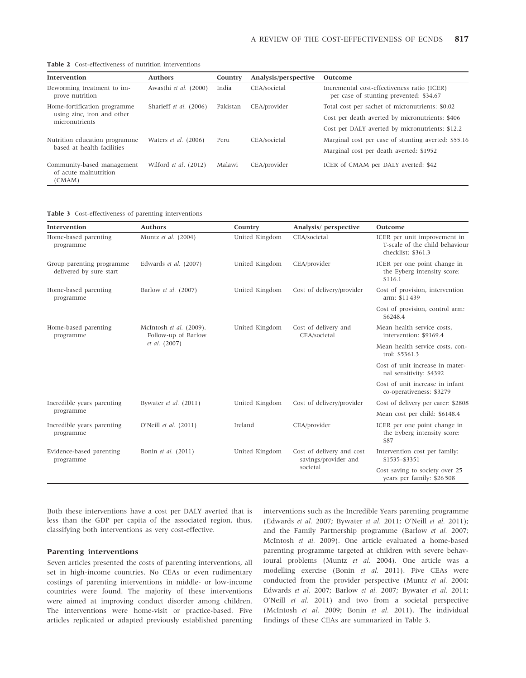| Intervention                                                                 | <b>Authors</b>              | Country  | Analysis/perspective | Outcome                                                                                |
|------------------------------------------------------------------------------|-----------------------------|----------|----------------------|----------------------------------------------------------------------------------------|
| Deworming treatment to im-<br>prove nutrition                                | Awasthi et al. (2000)       | India    | CEA/societal         | Incremental cost-effectiveness ratio (ICER)<br>per case of stunting prevented: \$34.67 |
| Home-fortification programme<br>using zinc, iron and other<br>micronutrients | Sharieff et al. (2006)      | Pakistan | CEA/provider         | Total cost per sachet of micronutrients: \$0.02                                        |
|                                                                              |                             |          |                      | Cost per death averted by micronutrients: \$406                                        |
|                                                                              |                             |          |                      | Cost per DALY averted by micronutrients: \$12.2                                        |
| Nutrition education programme<br>based at health facilities                  | Waters <i>et al.</i> (2006) | Peru     | CEA/societal         | Marginal cost per case of stunting averted: \$55.16                                    |
|                                                                              |                             |          |                      | Marginal cost per death averted: \$1952                                                |
| Community-based management<br>of acute malnutrition<br>(CMAM)                | Wilford et al. (2012)       | Malawi   | CEA/provider         | ICER of CMAM per DALY averted: \$42                                                    |

<span id="page-4-0"></span>Table 2 Cost-effectiveness of nutrition interventions

Table 3 Cost-effectiveness of parenting interventions

| Intervention                                         | <b>Authors</b>                                                  | Country        | Analysis/ perspective                             | Outcome                                                                              |
|------------------------------------------------------|-----------------------------------------------------------------|----------------|---------------------------------------------------|--------------------------------------------------------------------------------------|
| Home-based parenting<br>programme                    | Muntz et al. (2004)                                             | United Kingdom | CEA/societal                                      | ICER per unit improvement in<br>T-scale of the child behaviour<br>checklist: \$361.3 |
| Group parenting programme<br>delivered by sure start | Edwards et al. (2007)                                           | United Kingdom | CEA/provider                                      | ICER per one point change in<br>the Eyberg intensity score:<br>\$116.1               |
| Home-based parenting<br>programme                    | Barlow et al. (2007)                                            | United Kingdom | Cost of delivery/provider                         | Cost of provision, intervention<br>arm: \$11439                                      |
|                                                      |                                                                 |                |                                                   | Cost of provision, control arm:<br>\$6248.4                                          |
| Home-based parenting<br>programme                    | McIntosh et al. (2009).<br>Follow-up of Barlow<br>et al. (2007) | United Kingdom | Cost of delivery and<br>CEA/societal              | Mean health service costs.<br>intervention: \$9169.4                                 |
|                                                      |                                                                 |                |                                                   | Mean health service costs, con-<br>trol: \$5361.3                                    |
|                                                      |                                                                 |                |                                                   | Cost of unit increase in mater-<br>nal sensitivity: \$4392                           |
|                                                      |                                                                 |                |                                                   | Cost of unit increase in infant<br>co-operativeness: \$3279                          |
| Incredible years parenting<br>programme              | Bywater et al. (2011)                                           | United Kingdom | Cost of delivery/provider                         | Cost of delivery per carer: \$2808                                                   |
|                                                      |                                                                 |                |                                                   | Mean cost per child: \$6148.4                                                        |
| Incredible years parenting<br>programme              | O'Neill et al. (2011)                                           | Ireland        | CEA/provider                                      | ICER per one point change in<br>the Eyberg intensity score:<br>\$87                  |
| Evidence-based parenting<br>programme                | Bonin et al. (2011)                                             | United Kingdom | Cost of delivery and cost<br>savings/provider and | Intervention cost per family:<br>\$1535-\$3351                                       |
|                                                      |                                                                 |                | societal                                          | Cost saving to society over 25<br>years per family: \$26 508                         |

Both these interventions have a cost per DALY averted that is less than the GDP per capita of the associated region, thus, classifying both interventions as very cost-effective.

#### Parenting interventions

Seven articles presented the costs of parenting interventions, all set in high-income countries. No CEAs or even rudimentary costings of parenting interventions in middle- or low-income countries were found. The majority of these interventions were aimed at improving conduct disorder among children. The interventions were home-visit or practice-based. Five articles replicated or adapted previously established parenting interventions such as the Incredible Years parenting programme [\(Edwards](#page-7-0) et al. 2007; [Bywater](#page-6-0) et al. 2011; [O'Neill](#page-7-0) et al. 2011); and the Family Partnership programme [\(Barlow](#page-6-0) et al. 2007; [McIntosh](#page-7-0) et al. 2009). One article evaluated a home-based parenting programme targeted at children with severe behavioural problems ([Muntz](#page-7-0) et al. 2004). One article was a modelling exercise ([Bonin](#page-6-0) et al. 2011). Five CEAs were conducted from the provider perspective [\(Muntz](#page-7-0) et al. 2004; [Edwards](#page-7-0) et al. 2007; [Barlow](#page-6-0) et al. 2007; [Bywater](#page-6-0) et al. 2011; [O'Neill](#page-7-0) et al. 2011) and two from a societal perspective [\(McIntosh](#page-7-0) et al. 2009; [Bonin](#page-6-0) et al. 2011). The individual findings of these CEAs are summarized in Table 3.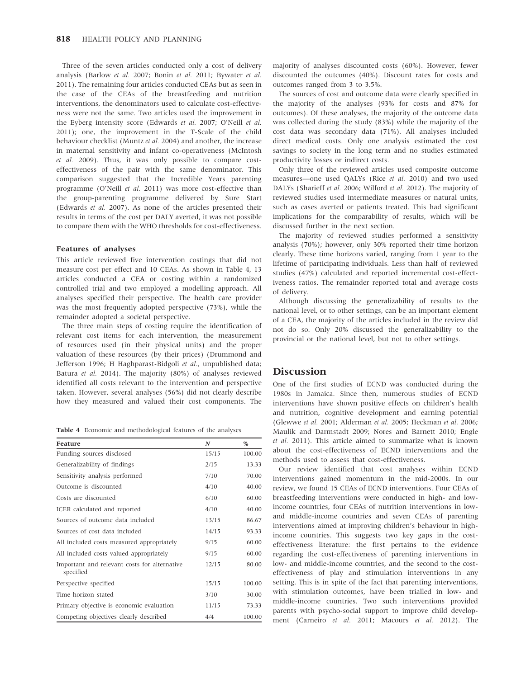<span id="page-5-0"></span>Three of the seven articles conducted only a cost of delivery analysis ([Barlow](#page-6-0) et al. 2007; [Bonin](#page-6-0) et al. 2011; [Bywater](#page-6-0) et al. [2011](#page-6-0)). The remaining four articles conducted CEAs but as seen in the case of the CEAs of the breastfeeding and nutrition interventions, the denominators used to calculate cost-effectiveness were not the same. Two articles used the improvement in the Eyberg intensity score [\(Edwards](#page-7-0) et al. 2007; [O'Neill](#page-7-0) et al. [2011](#page-7-0)); one, the improvement in the T-Scale of the child behaviour checklist ([Muntz](#page-7-0) et al. 2004) and another, the increase in maternal sensitivity and infant co-operativeness [\(McIntosh](#page-7-0) [et al.](#page-7-0) 2009). Thus, it was only possible to compare costeffectiveness of the pair with the same denominator. This comparison suggested that the Incredible Years parenting programme [\(O'Neill](#page-7-0) et al. 2011) was more cost-effective than the group-parenting programme delivered by Sure Start [\(Edwards](#page-7-0) et al. 2007). As none of the articles presented their results in terms of the cost per DALY averted, it was not possible to compare them with the WHO thresholds for cost-effectiveness.

#### Features of analyses

This article reviewed five intervention costings that did not measure cost per effect and 10 CEAs. As shown in Table 4, 13 articles conducted a CEA or costing within a randomized controlled trial and two employed a modelling approach. All analyses specified their perspective. The health care provider was the most frequently adopted perspective (73%), while the remainder adopted a societal perspective.

The three main steps of costing require the identification of relevant cost items for each intervention, the measurement of resources used (in their physical units) and the proper valuation of these resources (by their prices) [\(Drummond and](#page-7-0) [Jefferson 1996;](#page-7-0) H Haghparast-Bidgoli et al., unpublished data; [Batura](#page-6-0) et al. 2014). The majority (80%) of analyses reviewed identified all costs relevant to the intervention and perspective taken. However, several analyses (56%) did not clearly describe how they measured and valued their cost components. The

Table 4 Economic and methodological features of the analyses

| <b>Feature</b>                                            | N     | $\%$   |
|-----------------------------------------------------------|-------|--------|
| Funding sources disclosed                                 | 15/15 | 100.00 |
| Generalizability of findings                              | 2/15  | 13.33  |
| Sensitivity analysis performed                            | 7/10  | 70.00  |
| Outcome is discounted                                     | 4/10  | 40.00  |
| Costs are discounted                                      | 6/10  | 60.00  |
| ICER calculated and reported                              | 4/10  | 40.00  |
| Sources of outcome data included                          | 13/15 | 86.67  |
| Sources of cost data included                             | 14/15 | 93.33  |
| All included costs measured appropriately                 | 9/15  | 60.00  |
| All included costs valued appropriately                   | 9/15  | 60.00  |
| Important and relevant costs for alternative<br>specified | 12/15 | 80.00  |
| Perspective specified                                     | 15/15 | 100.00 |
| Time horizon stated                                       | 3/10  | 30.00  |
| Primary objective is economic evaluation                  | 11/15 | 73.33  |
| Competing objectives clearly described                    | 4/4   | 100.00 |

majority of analyses discounted costs (60%). However, fewer discounted the outcomes (40%). Discount rates for costs and outcomes ranged from 3 to 3.5%.

The sources of cost and outcome data were clearly specified in the majority of the analyses (93% for costs and 87% for outcomes). Of these analyses, the majority of the outcome data was collected during the study (83%) while the majority of the cost data was secondary data (71%). All analyses included direct medical costs. Only one analysis estimated the cost savings to society in the long term and no studies estimated productivity losses or indirect costs.

Only three of the reviewed articles used composite outcome measures—one used QALYs (Rice [et al.](#page-7-0) 2010) and two used DALYs ([Sharieff](#page-8-0) et al. 2006; [Wilford](#page-8-0) et al. 2012). The majority of reviewed studies used intermediate measures or natural units, such as cases averted or patients treated. This had significant implications for the comparability of results, which will be discussed further in the next section.

The majority of reviewed studies performed a sensitivity analysis (70%); however, only 30% reported their time horizon clearly. These time horizons varied, ranging from 1 year to the lifetime of participating individuals. Less than half of reviewed studies (47%) calculated and reported incremental cost-effectiveness ratios. The remainder reported total and average costs of delivery.

Although discussing the generalizability of results to the national level, or to other settings, can be an important element of a CEA, the majority of the articles included in the review did not do so. Only 20% discussed the generalizability to the provincial or the national level, but not to other settings.

## Discussion

One of the first studies of ECND was conducted during the 1980s in Jamaica. Since then, numerous studies of ECND interventions have shown positive effects on children's health and nutrition, cognitive development and earning potential [\(Glewwe](#page-7-0) et al. 2001; [Alderman](#page-6-0) et al. 2005; [Heckman](#page-7-0) et al. 2006; [Maulik and Darmstadt 2009](#page-7-0); [Nores and Barnett 2010](#page-7-0); [Engle](#page-7-0) [et al.](#page-7-0) 2011). This article aimed to summarize what is known about the cost-effectiveness of ECND interventions and the methods used to assess that cost-effectiveness.

Our review identified that cost analyses within ECND interventions gained momentum in the mid-2000s. In our review, we found 15 CEAs of ECND interventions. Four CEAs of breastfeeding interventions were conducted in high- and lowincome countries, four CEAs of nutrition interventions in lowand middle-income countries and seven CEAs of parenting interventions aimed at improving children's behaviour in highincome countries. This suggests two key gaps in the costeffectiveness literature: the first pertains to the evidence regarding the cost-effectiveness of parenting interventions in low- and middle-income countries, and the second to the costeffectiveness of play and stimulation interventions in any setting. This is in spite of the fact that parenting interventions, with stimulation outcomes, have been trialled in low- and middle-income countries. Two such interventions provided parents with psycho-social support to improve child development [\(Carneiro](#page-6-0) et al. 2011; [Macours](#page-7-0) et al. 2012). The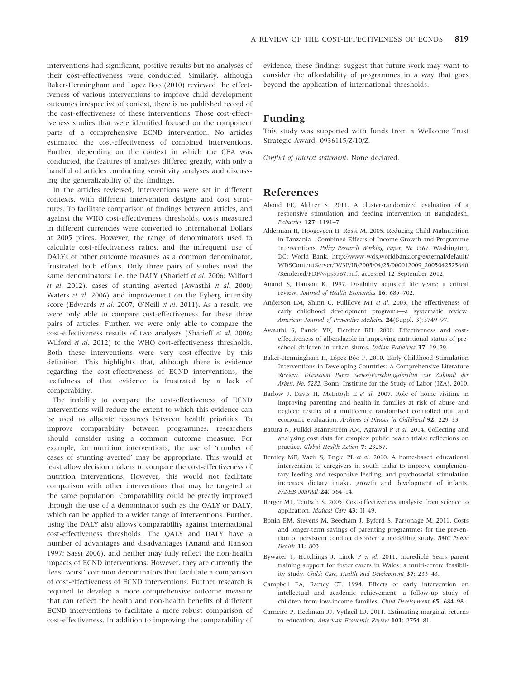<span id="page-6-0"></span>interventions had significant, positive results but no analyses of their cost-effectiveness were conducted. Similarly, although Baker-Henningham and Lopez Boo (2010) reviewed the effectiveness of various interventions to improve child development outcomes irrespective of context, there is no published record of the cost-effectiveness of these interventions. Those cost-effectiveness studies that were identified focused on the component parts of a comprehensive ECND intervention. No articles estimated the cost-effectiveness of combined interventions. Further, depending on the context in which the CEA was conducted, the features of analyses differed greatly, with only a handful of articles conducting sensitivity analyses and discussing the generalizability of the findings.

In the articles reviewed, interventions were set in different contexts, with different intervention designs and cost structures. To facilitate comparison of findings between articles, and against the WHO cost-effectiveness thresholds, costs measured in different currencies were converted to International Dollars at 2005 prices. However, the range of denominators used to calculate cost-effectiveness ratios, and the infrequent use of DALYs or other outcome measures as a common denominator, frustrated both efforts. Only three pairs of studies used the same denominators: i.e. the DALY [\(Sharieff](#page-8-0) et al. 2006; [Wilford](#page-8-0) [et al.](#page-8-0) 2012), cases of stunting averted (Awasthi et al. 2000; [Waters](#page-8-0) et al. 2006) and improvement on the Eyberg intensity score ([Edwards](#page-7-0) et al. 2007; [O'Neill](#page-7-0) et al. 2011). As a result, we were only able to compare cost-effectiveness for these three pairs of articles. Further, we were only able to compare the cost-effectiveness results of two analyses [\(Sharieff](#page-8-0) et al. 2006; [Wilford](#page-8-0) *et al.* 2012) to the WHO cost-effectiveness thresholds. Both these interventions were very cost-effective by this definition. This highlights that, although there is evidence regarding the cost-effectiveness of ECND interventions, the usefulness of that evidence is frustrated by a lack of comparability.

The inability to compare the cost-effectiveness of ECND interventions will reduce the extent to which this evidence can be used to allocate resources between health priorities. To improve comparability between programmes, researchers should consider using a common outcome measure. For example, for nutrition interventions, the use of 'number of cases of stunting averted' may be appropriate. This would at least allow decision makers to compare the cost-effectiveness of nutrition interventions. However, this would not facilitate comparison with other interventions that may be targeted at the same population. Comparability could be greatly improved through the use of a denominator such as the QALY or DALY, which can be applied to a wider range of interventions. Further, using the DALY also allows comparability against international cost-effectiveness thresholds. The QALY and DALY have a number of advantages and disadvantages (Anand and Hanson 1997; [Sassi 2006](#page-7-0)), and neither may fully reflect the non-health impacts of ECND interventions. However, they are currently the 'least worst' common denominators that facilitate a comparison of cost-effectiveness of ECND interventions. Further research is required to develop a more comprehensive outcome measure that can reflect the health and non-health benefits of different ECND interventions to facilitate a more robust comparison of cost-effectiveness. In addition to improving the comparability of

evidence, these findings suggest that future work may want to consider the affordability of programmes in a way that goes beyond the application of international thresholds.

# Funding

This study was supported with funds from a Wellcome Trust Strategic Award, 0936115/Z/10/Z.

Conflict of interest statement. None declared.

## References

- Aboud FE, Akhter S. 2011. A cluster-randomized evaluation of a responsive stimulation and feeding intervention in Bangladesh. Pediatrics 127: 1191–7.
- Alderman H, Hoogeveen H, Rossi M. 2005. Reducing Child Malnutrition in Tanzania—Combined Effects of Income Growth and Programme Interventions. Policy Research Working Paper, No 3567. Washington, DC: World Bank. [http://www-wds.worldbank.org/external/default/](http://www-wds.worldbank.org/external/default/WDSContentServer/IW3P/IB/2005/04/25/000012009_20050425125640/Rendered/PDF/wps3567.pdf) [WDSContentServer/IW3P/IB/2005/04/25/000012009\\_2005042525640](http://www-wds.worldbank.org/external/default/WDSContentServer/IW3P/IB/2005/04/25/000012009_20050425125640/Rendered/PDF/wps3567.pdf) [/Rendered/PDF/wps3567.pdf](http://www-wds.worldbank.org/external/default/WDSContentServer/IW3P/IB/2005/04/25/000012009_20050425125640/Rendered/PDF/wps3567.pdf), accessed 12 September 2012.
- Anand S, Hanson K. 1997. Disability adjusted life years: a critical review. Journal of Health Economics 16: 685–702.
- Anderson LM, Shinn C, Fullilove MT et al. 2003. The effectiveness of early childhood development programs—a systematic review. American Journal of Preventive Medicine 24(Suppl. 3):3749–97.
- Awasthi S, Pande VK, Fletcher RH. 2000. Effectiveness and costeffectiveness of albendazole in improving nutritional status of preschool children in urban slums. Indian Pediatrics 37: 19–29.
- Baker-Henningham H, López Bóo F, 2010. Early Childhood Stimulation Interventions in Developing Countries: A Comprehensive Literature Review. Discussion Paper Series//Forschungsinstitut zur Zukunft der Arbeit, No. 5282. Bonn: Institute for the Study of Labor (IZA). 2010.
- Barlow J, Davis H, McIntosh E et al. 2007. Role of home visiting in improving parenting and health in families at risk of abuse and neglect: results of a multicentre randomised controlled trial and economic evaluation. Archives of Dieases in Childhood 92: 229-33.
- Batura N, Pulkki-Brännström AM, Agrawal P et al. 2014. Collecting and analysing cost data for complex public health trials: reflections on practice. Global Health Action 7: 23257.
- Bentley ME, Vazir S, Engle PL et al. 2010. A home-based educational intervention to caregivers in south India to improve complementary feeding and responsive feeding, and psychosocial stimulation increases dietary intake, growth and development of infants. FASEB Journal 24: 564–14.
- Berger ML, Teutsch S. 2005. Cost-effectiveness analysis: from science to application. Medical Care 43: II–49.
- Bonin EM, Stevens M, Beecham J, Byford S, Parsonage M. 2011. Costs and longer-term savings of parenting programmes for the prevention of persistent conduct disorder: a modelling study. BMC Public Health 11: 803.
- Bywater T, Hutchings J, Linck P et al. 2011. Incredible Years parent training support for foster carers in Wales: a multi-centre feasibility study. Child: Care, Health and Development 37: 233–43.
- Campbell FA, Ramey CT. 1994. Effects of early intervention on intellectual and academic achievement: a follow-up study of children from low-income families. Child Development 65: 684–98.
- Carneiro P, Heckman JJ, Vytlacil EJ. 2011. Estimating marginal returns to education. American Economic Review 101: 2754–81.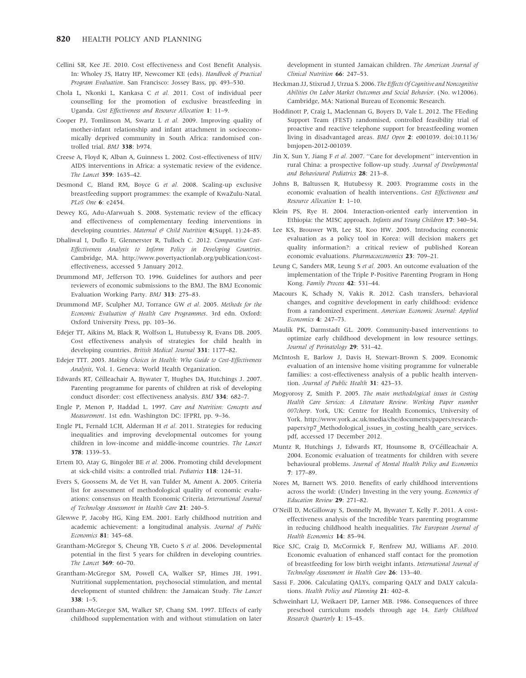- <span id="page-7-0"></span>Cellini SR, Kee JE. 2010. Cost effectiveness and Cost Benefit Analysis. In: Wholey JS, Hatry HP, Newcomer KE (eds). Handbook of Practical Program Evaluation. San Francisco: Jossey Bass, pp. 493–530.
- Chola L, Nkonki L, Kankasa C et al. 2011. Cost of individual peer counselling for the promotion of exclusive breastfeeding in Uganda. Cost Effectiveness and Resource Allocation 1: 11–9.
- Cooper PJ, Tomlinson M, Swartz L et al. 2009. Improving quality of mother-infant relationship and infant attachment in socioeconomically deprived community in South Africa: randomised controlled trial. BMJ 338: b974.
- Creese A, Floyd K, Alban A, Guinness L. 2002. Cost-effectiveness of HIV/ AIDS interventions in Africa: a systematic review of the evidence. The Lancet 359: 1635–42.
- Desmond C, Bland RM, Boyce G et al. 2008. Scaling-up exclusive breastfeeding support programmes: the example of KwaZulu-Natal. PLoS One 6: e2454.
- Dewey KG, Adu-Afarwuah S. 2008. Systematic review of the efficacy and effectiveness of complementary feeding interventions in developing countries. Maternal  $\theta$  Child Nutrition 4(Suppl. 1):24-85.
- Dhaliwal I, Duflo E, Glennerster R, Tulloch C. 2012. Comparative Cost-Effectiveness Analysis to Inform Policy in Developing Countries. Cambridge, MA. [http://www.povertyactionlab.org/publication/cost](http://www.povertyactionlab.org/publication/cost-effectiveness)[effectiveness](http://www.povertyactionlab.org/publication/cost-effectiveness), accessed 5 January 2012.
- Drummond MF, Jefferson TO. 1996. Guidelines for authors and peer reviewers of economic submissions to the BMJ. The BMJ Economic Evaluation Working Party. BMJ 313: 275–83.
- Drummond MF, Sculpher MJ, Torrance GW et al. 2005. Methods for the Economic Evaluation of Health Care Programmes. 3rd edn. Oxford: Oxford University Press, pp. 103–36.
- Edejer TT, Aikins M, Black R, Wolfson L, Hutubessy R, Evans DB. 2005. Cost effectiveness analysis of strategies for child health in developing countries. British Medical Journal 331: 1177–82.
- Edejer TTT. 2003. Making Choices in Health: Who Guide to Cost-Effectiveness Analysis, Vol. 1. Geneva: World Health Organization.
- Edwards RT, Céilleachair A, Bywater T, Hughes DA, Hutchings J. 2007. Parenting programme for parents of children at risk of developing conduct disorder: cost effectiveness analysis. BMJ 334: 682–7.
- Engle P, Menon P, Haddad L. 1997. Care and Nutrition: Concepts and Measurement. 1st edn. Washington DC: IFPRI, pp. 9–36.
- Engle PL, Fernald LCH, Alderman H et al. 2011. Strategies for reducing inequalities and improving developmental outcomes for young children in low-income and middle-income countries. The Lancet 378: 1339–53.
- Ertem IO, Atay G, Bingoler BE et al. 2006. Promoting child development at sick-child visits: a controlled trial. Pediatrics 118: 124–31.
- Evers S, Goossens M, de Vet H, van Tulder M, Ament A. 2005. Criteria list for assessment of methodological quality of economic evaluations: consensus on Health Economic Criteria. International Journal of Technology Assessment in Health Care 21: 240–5.
- Glewwe P, Jacoby HG, King EM. 2001. Early childhood nutrition and academic achievement: a longitudinal analysis. Journal of Public Economics 81: 345–68.
- Grantham-McGregor S, Cheung YB, Cueto S et al. 2006. Developmental potential in the first 5 years for children in developing countries. The Lancet 369: 60–70.
- Grantham-McGregor SM, Powell CA, Walker SP, Himes JH. 1991. Nutritional supplementation, psychosocial stimulation, and mental development of stunted children: the Jamaican Study. The Lancet 338: 1–5.
- Grantham-McGregor SM, Walker SP, Chang SM. 1997. Effects of early childhood supplementation with and without stimulation on later

development in stunted Jamaican children. The American Journal of Clinical Nutrition 66: 247–53.

- Heckman JJ, Stixrud J, Urzua S. 2006. The Effects Of Cognitive and Noncognitive Abilities On Labor Market Outcomes and Social Behavior. (No. w12006). Cambridge, MA: National Bureau of Economic Research.
- Hoddinott P, Craig L, Maclennan G, Boyers D, Vale L. 2012. The FEeding Support Team (FEST) randomised, controlled feasibility trial of proactive and reactive telephone support for breastfeeding women living in disadvantaged areas. BMJ Open 2: e001039. doi:10.1136/ bmjopen-2012-001039.
- Jin X, Sun Y, Jiang F et al. 2007. "Care for development" intervention in rural China: a prospective follow-up study. Journal of Developmental and Behavioural Pediatrics 28: 213–8.
- Johns B, Baltussen R, Hutubessy R. 2003. Programme costs in the economic evaluation of health interventions. Cost Effectiveness and Resource Allocation 1: 1–10.
- Klein PS, Rye H. 2004. Interaction-oriented early intervention in Ethiopia: the MISC approach. Infants and Young Children 17: 340–54.
- Lee KS, Brouwer WB, Lee SI, Koo HW. 2005. Introducing economic evaluation as a policy tool in Korea: will decision makers get quality information?: a critical review of published Korean economic evaluations. Pharmacoeconomics 23: 709–21.
- Leung C, Sanders MR, Leung S et al. 2003. An outcome evaluation of the implementation of the Triple P-Positive Parenting Program in Hong Kong. Family Process 42: 531–44.
- Macours K, Schady N, Vakis R. 2012. Cash transfers, behavioral changes, and cognitive development in early childhood: evidence from a randomized experiment. American Economic Journal: Applied Economics 4: 247–73.
- Maulik PK, Darmstadt GL. 2009. Community-based interventions to optimize early childhood development in low resource settings. Journal of Perinatology 29: 531-42.
- McIntosh E, Barlow J, Davis H, Stewart-Brown S. 2009. Economic evaluation of an intensive home visiting programme for vulnerable families: a cost-effectiveness analysis of a public health intervention. Journal of Public Health 31: 423-33.
- Mogyorosy Z, Smith P. 2005. The main methodological issues in Costing Health Care Services: A Literature Review. Working Paper number 007cherp. York, UK: Centre for Health Economics, University of York. [http://www.york.ac.uk/media/che/documents/papers/research](http://www.york.ac.uk/media/che/documents/papers/researchpapers/rp7_Methodological_issues_in_costing_health_care_services.pdf)[papers/rp7\\_Methodological\\_issues\\_in\\_costing\\_health\\_care\\_services.](http://www.york.ac.uk/media/che/documents/papers/researchpapers/rp7_Methodological_issues_in_costing_health_care_services.pdf) [pdf,](http://www.york.ac.uk/media/che/documents/papers/researchpapers/rp7_Methodological_issues_in_costing_health_care_services.pdf) accessed 17 December 2012.
- Muntz R, Hutchings J, Edwards RT, Hounsome B, O'Céilleachair A. 2004. Economic evaluation of treatments for children with severe behavioural problems. Journal of Mental Health Policy and Economics 7: 177–89.
- Nores M, Barnett WS. 2010. Benefits of early childhood interventions across the world: (Under) Investing in the very young. Economics of Education Review 29: 271–82.
- O'Neill D, McGilloway S, Donnelly M, Bywater T, Kelly P. 2011. A costeffectiveness analysis of the Incredible Years parenting programme in reducing childhood health inequalities. The European Journal of Health Economics 14: 85–94.
- Rice SJC, Craig D, McCormick F, Renfrew MJ, Williams AF. 2010. Economic evaluation of enhanced staff contact for the promotion of breastfeeding for low birth weight infants. International Journal of Technology Assessment in Health Care 26: 133–40.
- Sassi F. 2006. Calculating QALYs, comparing QALY and DALY calculations. Health Policy and Planning 21: 402-8.
- Schweinhart LJ, Weikaert DP, Larner MB. 1986. Consequences of three preschool curriculum models through age 14. Early Childhood Research Quarterly 1: 15–45.